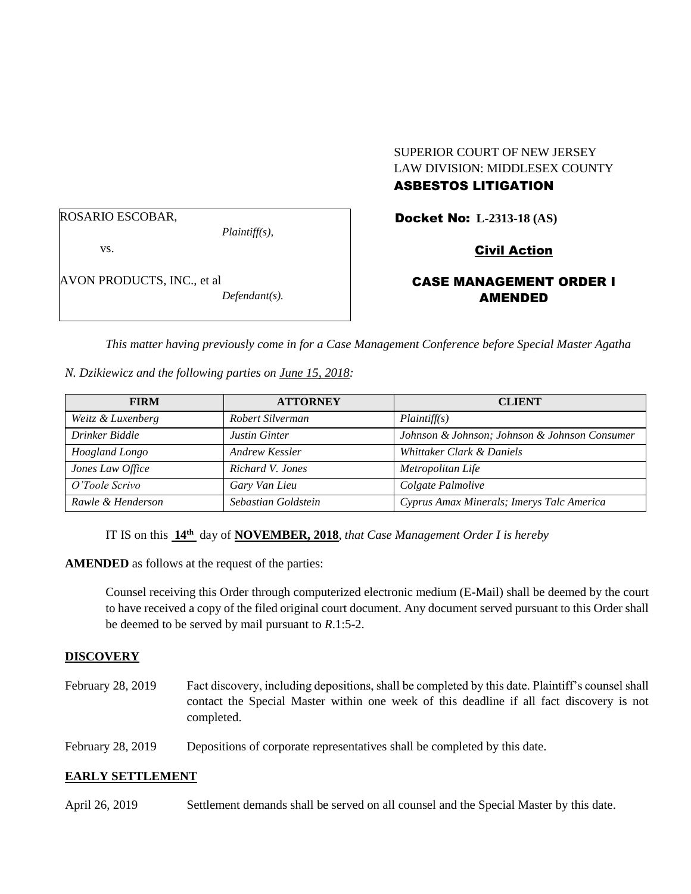### ROSARIO ESCOBAR,

*Plaintiff(s),*

vs.

AVON PRODUCTS, INC., et al *Defendant(s).*

# SUPERIOR COURT OF NEW JERSEY LAW DIVISION: MIDDLESEX COUNTY

# ASBESTOS LITIGATION

Docket No: **L-2313-18 (AS)** 

# Civil Action

# CASE MANAGEMENT ORDER I AMENDED

*This matter having previously come in for a Case Management Conference before Special Master Agatha* 

### *N. Dzikiewicz and the following parties on June 15, 2018:*

| <b>FIRM</b>       | <b>ATTORNEY</b>      | <b>CLIENT</b>                                 |
|-------------------|----------------------|-----------------------------------------------|
| Weitz & Luxenberg | Robert Silverman     | Plaintiff(s)                                  |
| Drinker Biddle    | <b>Justin Ginter</b> | Johnson & Johnson; Johnson & Johnson Consumer |
| Hoagland Longo    | Andrew Kessler       | Whittaker Clark & Daniels                     |
| Jones Law Office  | Richard V. Jones     | Metropolitan Life                             |
| O'Toole Scrivo    | Gary Van Lieu        | Colgate Palmolive                             |
| Rawle & Henderson | Sebastian Goldstein  | Cyprus Amax Minerals; Imerys Talc America     |

IT IS on this  $14<sup>th</sup>$  day of **NOVEMBER, 2018**, *that Case Management Order I is hereby* 

**AMENDED** as follows at the request of the parties:

Counsel receiving this Order through computerized electronic medium (E-Mail) shall be deemed by the court to have received a copy of the filed original court document. Any document served pursuant to this Order shall be deemed to be served by mail pursuant to *R*.1:5-2.

### **DISCOVERY**

- February 28, 2019 Fact discovery, including depositions, shall be completed by this date. Plaintiff's counsel shall contact the Special Master within one week of this deadline if all fact discovery is not completed.
- February 28, 2019 Depositions of corporate representatives shall be completed by this date.

# **EARLY SETTLEMENT**

April 26, 2019 Settlement demands shall be served on all counsel and the Special Master by this date.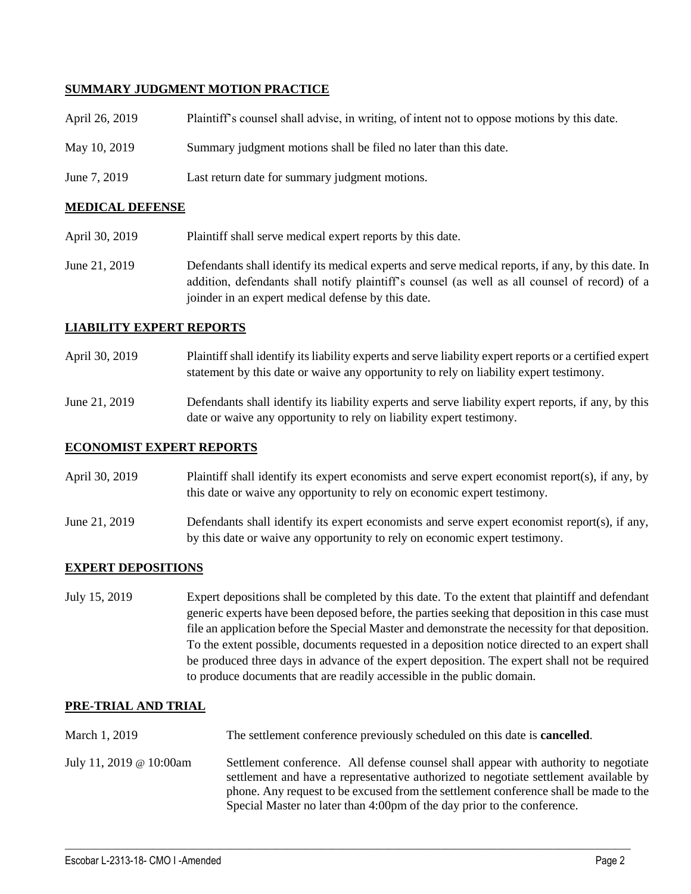### **SUMMARY JUDGMENT MOTION PRACTICE**

| April 26, 2019 | Plaintiff's counsel shall advise, in writing, of intent not to oppose motions by this date. |
|----------------|---------------------------------------------------------------------------------------------|
| May 10, 2019   | Summary judgment motions shall be filed no later than this date.                            |
| June 7, 2019   | Last return date for summary judgment motions.                                              |

### **MEDICAL DEFENSE**

- April 30, 2019 Plaintiff shall serve medical expert reports by this date.
- June 21, 2019 Defendants shall identify its medical experts and serve medical reports, if any, by this date. In addition, defendants shall notify plaintiff's counsel (as well as all counsel of record) of a joinder in an expert medical defense by this date.

### **LIABILITY EXPERT REPORTS**

- April 30, 2019 Plaintiff shall identify its liability experts and serve liability expert reports or a certified expert statement by this date or waive any opportunity to rely on liability expert testimony.
- June 21, 2019 Defendants shall identify its liability experts and serve liability expert reports, if any, by this date or waive any opportunity to rely on liability expert testimony.

### **ECONOMIST EXPERT REPORTS**

| April 30, 2019 | Plaintiff shall identify its expert economists and serve expert economist report(s), if any, by |
|----------------|-------------------------------------------------------------------------------------------------|
|                | this date or waive any opportunity to rely on economic expert testimony.                        |

June 21, 2019 Defendants shall identify its expert economists and serve expert economist report(s), if any, by this date or waive any opportunity to rely on economic expert testimony.

### **EXPERT DEPOSITIONS**

July 15, 2019 Expert depositions shall be completed by this date. To the extent that plaintiff and defendant generic experts have been deposed before, the parties seeking that deposition in this case must file an application before the Special Master and demonstrate the necessity for that deposition. To the extent possible, documents requested in a deposition notice directed to an expert shall be produced three days in advance of the expert deposition. The expert shall not be required to produce documents that are readily accessible in the public domain.

### **PRE-TRIAL AND TRIAL**

March 1, 2019 The settlement conference previously scheduled on this date is **cancelled**. July 11, 2019 @ 10:00am Settlement conference. All defense counsel shall appear with authority to negotiate settlement and have a representative authorized to negotiate settlement available by phone. Any request to be excused from the settlement conference shall be made to the Special Master no later than 4:00pm of the day prior to the conference.

 $\_$  ,  $\_$  ,  $\_$  ,  $\_$  ,  $\_$  ,  $\_$  ,  $\_$  ,  $\_$  ,  $\_$  ,  $\_$  ,  $\_$  ,  $\_$  ,  $\_$  ,  $\_$  ,  $\_$  ,  $\_$  ,  $\_$  ,  $\_$  ,  $\_$  ,  $\_$  ,  $\_$  ,  $\_$  ,  $\_$  ,  $\_$  ,  $\_$  ,  $\_$  ,  $\_$  ,  $\_$  ,  $\_$  ,  $\_$  ,  $\_$  ,  $\_$  ,  $\_$  ,  $\_$  ,  $\_$  ,  $\_$  ,  $\_$  ,